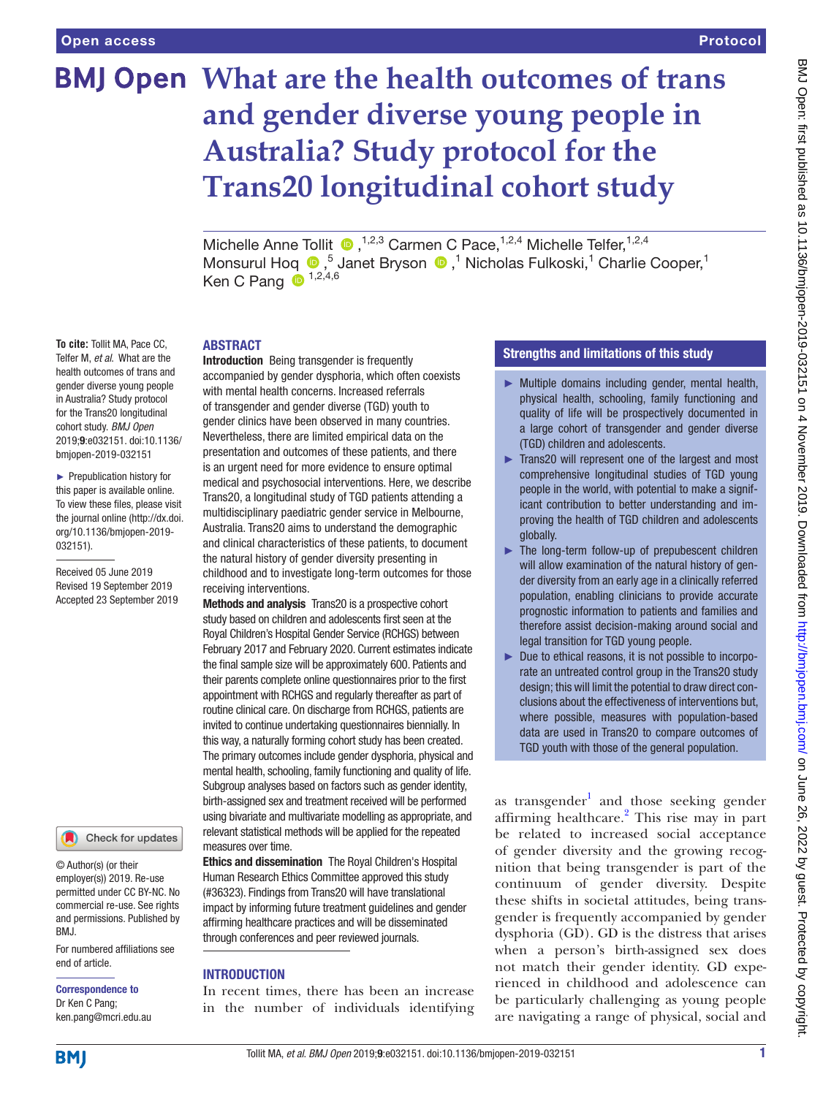# **BMJ Open What are the health outcomes of trans and gender diverse young people in Australia? Study protocol for the Trans20 longitudinal cohort study**

MichelleAnne Tollit  $\bullet$ , <sup>1,2,3</sup> Carmen C Pace, <sup>1,2,4</sup> Michelle Telfer, <sup>1,2,4</sup> MonsurulHoq  $\bullet$ ,<sup>5</sup> Janet Bryson  $\bullet$ ,<sup>1</sup> Nicholas Fulkoski,<sup>1</sup> Charlie Cooper,<sup>1</sup> Ken C Pang  $\mathbf{0}^{1,2,4,6}$ 

#### **ABSTRACT**

**To cite:** Tollit MA, Pace CC, Telfer M, *et al*. What are the health outcomes of trans and gender diverse young people in Australia? Study protocol for the Trans20 longitudinal cohort study. *BMJ Open* 2019;9:e032151. doi:10.1136/ bmjopen-2019-032151

► Prepublication history for this paper is available online. To view these files, please visit the journal online (http://dx.doi. org/10.1136/bmjopen-2019- 032151).

Received 05 June 2019 Revised 19 September 2019 Accepted 23 September 2019



© Author(s) (or their employer(s)) 2019. Re-use permitted under CC BY-NC. No commercial re-use. See rights and permissions. Published by BMJ.

For numbered affiliations see end of article.

Correspondence to Dr Ken C Pang; ken.pang@mcri.edu.au Introduction Being transgender is frequently accompanied by gender dysphoria, which often coexists with mental health concerns. Increased referrals of transgender and gender diverse (TGD) youth to gender clinics have been observed in many countries. Nevertheless, there are limited empirical data on the presentation and outcomes of these patients, and there is an urgent need for more evidence to ensure optimal medical and psychosocial interventions. Here, we describe Trans20, a longitudinal study of TGD patients attending a multidisciplinary paediatric gender service in Melbourne, Australia. Trans20 aims to understand the demographic and clinical characteristics of these patients, to document the natural history of gender diversity presenting in childhood and to investigate long-term outcomes for those receiving interventions.

Methods and analysis Trans20 is a prospective cohort study based on children and adolescents first seen at the Royal Children's Hospital Gender Service (RCHGS) between February 2017 and February 2020. Current estimates indicate the final sample size will be approximately 600. Patients and their parents complete online questionnaires prior to the first appointment with RCHGS and regularly thereafter as part of routine clinical care. On discharge from RCHGS, patients are invited to continue undertaking questionnaires biennially. In this way, a naturally forming cohort study has been created. The primary outcomes include gender dysphoria, physical and mental health, schooling, family functioning and quality of life. Subgroup analyses based on factors such as gender identity, birth-assigned sex and treatment received will be performed using bivariate and multivariate modelling as appropriate, and relevant statistical methods will be applied for the repeated measures over time.

Ethics and dissemination The Royal Children's Hospital Human Research Ethics Committee approved this study (#36323). Findings from Trans20 will have translational impact by informing future treatment guidelines and gender affirming healthcare practices and will be disseminated through conferences and peer reviewed journals.

#### **INTRODUCTION**

In recent times, there has been an increase in the number of individuals identifying

#### Strengths and limitations of this study

- $\blacktriangleright$  Multiple domains including gender, mental health, physical health, schooling, family functioning and quality of life will be prospectively documented in a large cohort of transgender and gender diverse (TGD) children and adolescents.
- ► Trans20 will represent one of the largest and most comprehensive longitudinal studies of TGD young people in the world, with potential to make a significant contribution to better understanding and improving the health of TGD children and adolescents globally.
- ► The long-term follow-up of prepubescent children will allow examination of the natural history of gender diversity from an early age in a clinically referred population, enabling clinicians to provide accurate prognostic information to patients and families and therefore assist decision-making around social and legal transition for TGD young people.
- ► Due to ethical reasons, it is not possible to incorporate an untreated control group in the Trans20 study design; this will limit the potential to draw direct conclusions about the effectiveness of interventions but, where possible, measures with population-based data are used in Trans20 to compare outcomes of TGD youth with those of the general population.

as transgender<sup>[1](#page-8-0)</sup> and those seeking gender affirming healthcare.<sup>[2](#page-8-1)</sup> This rise may in part be related to increased social acceptance of gender diversity and the growing recognition that being transgender is part of the continuum of gender diversity. Despite these shifts in societal attitudes, being transgender is frequently accompanied by gender dysphoria (GD). GD is the distress that arises when a person's birth-assigned sex does not match their gender identity. GD experienced in childhood and adolescence can be particularly challenging as young people are navigating a range of physical, social and

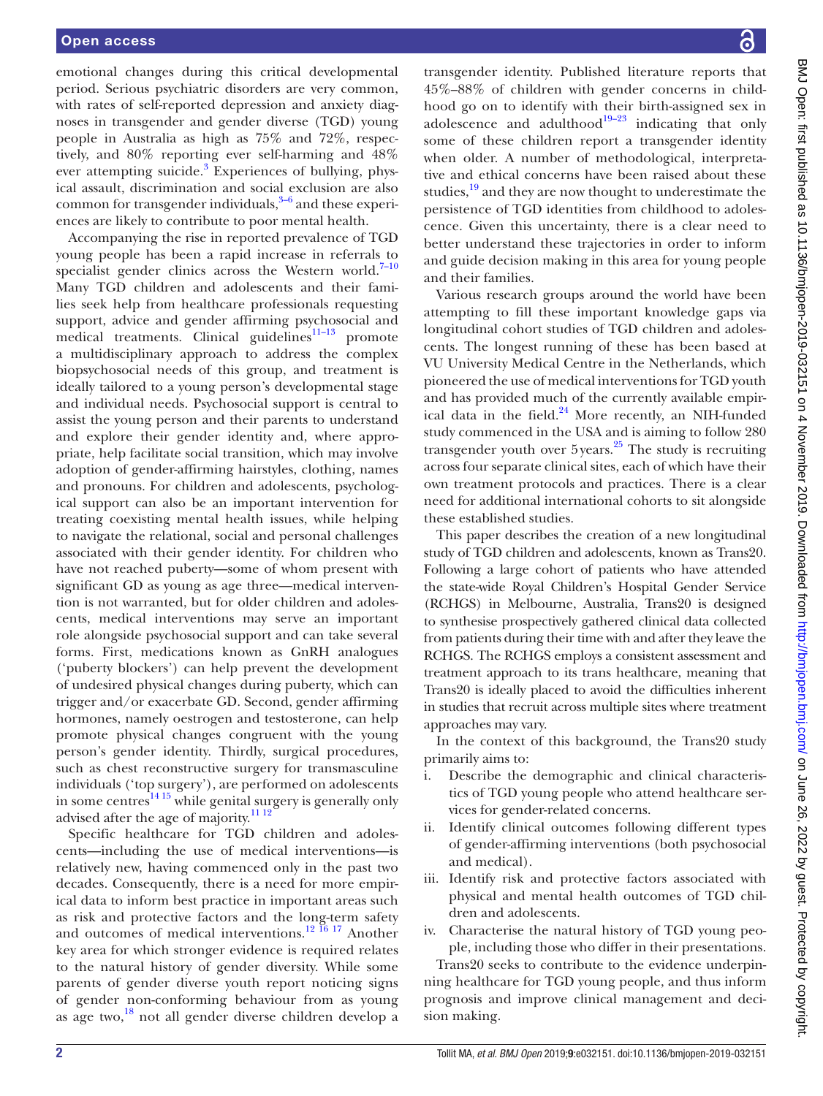emotional changes during this critical developmental period. Serious psychiatric disorders are very common, with rates of self-reported depression and anxiety diagnoses in transgender and gender diverse (TGD) young people in Australia as high as 75% and 72%, respectively, and 80% reporting ever self-harming and 48% ever attempting suicide.<sup>3</sup> Experiences of bullying, physical assault, discrimination and social exclusion are also common for transgender individuals, $3-6$  and these experiences are likely to contribute to poor mental health.

Accompanying the rise in reported prevalence of TGD young people has been a rapid increase in referrals to specialist gender clinics across the Western world. $7-10$ Many TGD children and adolescents and their families seek help from healthcare professionals requesting support, advice and gender affirming psychosocial and medical treatments. Clinical guidelines $11-13$  promote a multidisciplinary approach to address the complex biopsychosocial needs of this group, and treatment is ideally tailored to a young person's developmental stage and individual needs. Psychosocial support is central to assist the young person and their parents to understand and explore their gender identity and, where appropriate, help facilitate social transition, which may involve adoption of gender-affirming hairstyles, clothing, names and pronouns. For children and adolescents, psychological support can also be an important intervention for treating coexisting mental health issues, while helping to navigate the relational, social and personal challenges associated with their gender identity. For children who have not reached puberty—some of whom present with significant GD as young as age three—medical intervention is not warranted, but for older children and adolescents, medical interventions may serve an important role alongside psychosocial support and can take several forms. First, medications known as GnRH analogues ('puberty blockers') can help prevent the development of undesired physical changes during puberty, which can trigger and/or exacerbate GD. Second, gender affirming hormones, namely oestrogen and testosterone, can help promote physical changes congruent with the young person's gender identity. Thirdly, surgical procedures, such as chest reconstructive surgery for transmasculine individuals ('top surgery'), are performed on adolescents in some centres $^{14\,15}$  while genital surgery is generally only advised after the age of majority.<sup>[11 12](#page-8-4)</sup>

Specific healthcare for TGD children and adolescents—including the use of medical interventions—is relatively new, having commenced only in the past two decades. Consequently, there is a need for more empirical data to inform best practice in important areas such as risk and protective factors and the long-term safety and outcomes of medical interventions.<sup>12 16</sup> 17 Another key area for which stronger evidence is required relates to the natural history of gender diversity. While some parents of gender diverse youth report noticing signs of gender non-conforming behaviour from as young as age two, $18$  not all gender diverse children develop a

transgender identity. Published literature reports that 45%–88% of children with gender concerns in childhood go on to identify with their birth-assigned sex in adolescence and adulthood<sup>19–23</sup> indicating that only some of these children report a transgender identity when older. A number of methodological, interpretative and ethical concerns have been raised about these studies, $19$  and they are now thought to underestimate the persistence of TGD identities from childhood to adolescence. Given this uncertainty, there is a clear need to better understand these trajectories in order to inform and guide decision making in this area for young people and their families.

Various research groups around the world have been attempting to fill these important knowledge gaps via longitudinal cohort studies of TGD children and adolescents. The longest running of these has been based at VU University Medical Centre in the Netherlands, which pioneered the use of medical interventions for TGD youth and has provided much of the currently available empirical data in the field. $24$  More recently, an NIH-funded study commenced in the USA and is aiming to follow 280 transgender youth over  $5$  years.<sup>25</sup> The study is recruiting across four separate clinical sites, each of which have their own treatment protocols and practices. There is a clear need for additional international cohorts to sit alongside these established studies.

This paper describes the creation of a new longitudinal study of TGD children and adolescents, known as Trans20. Following a large cohort of patients who have attended the state-wide Royal Children's Hospital Gender Service (RCHGS) in Melbourne, Australia, Trans20 is designed to synthesise prospectively gathered clinical data collected from patients during their time with and after they leave the RCHGS. The RCHGS employs a consistent assessment and treatment approach to its trans healthcare, meaning that Trans20 is ideally placed to avoid the difficulties inherent in studies that recruit across multiple sites where treatment approaches may vary.

In the context of this background, the Trans20 study primarily aims to:

- i. Describe the demographic and clinical characteristics of TGD young people who attend healthcare services for gender-related concerns.
- ii. Identify clinical outcomes following different types of gender-affirming interventions (both psychosocial and medical).
- iii. Identify risk and protective factors associated with physical and mental health outcomes of TGD children and adolescents.

iv. Characterise the natural history of TGD young people, including those who differ in their presentations.

Trans20 seeks to contribute to the evidence underpinning healthcare for TGD young people, and thus inform prognosis and improve clinical management and decision making.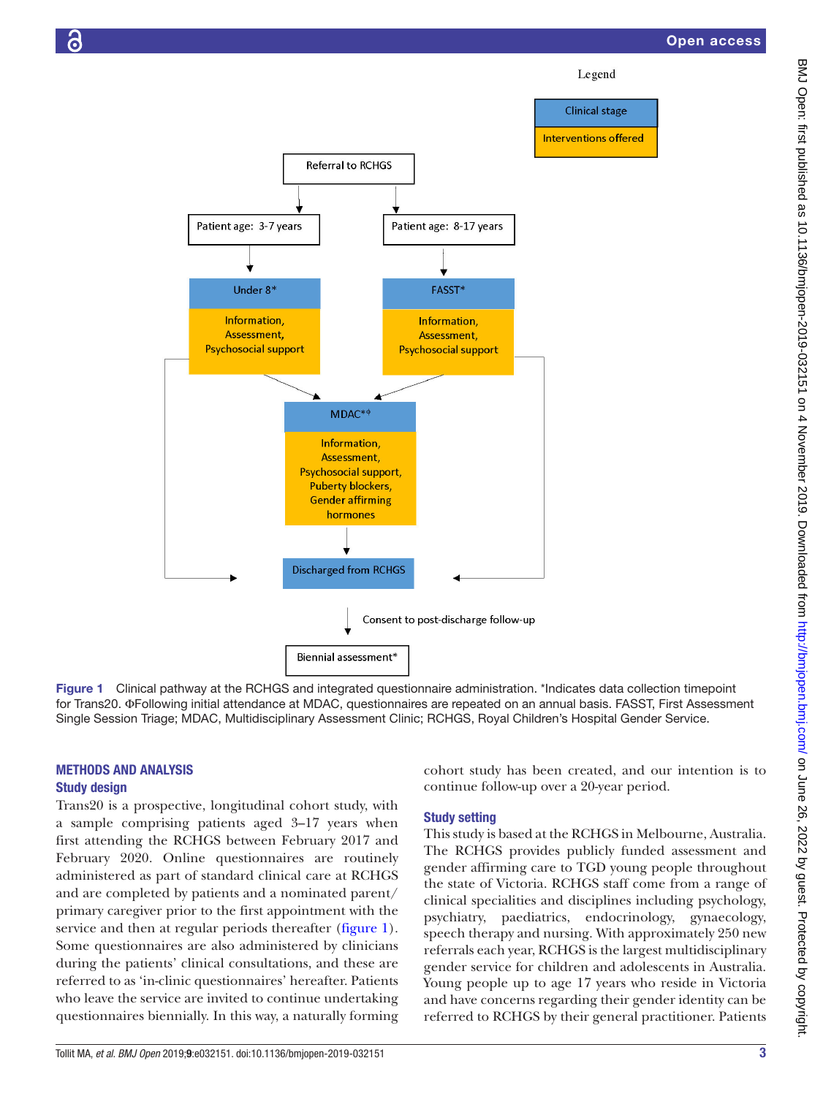Legend



Figure 1 Clinical pathway at the RCHGS and integrated questionnaire administration. \*Indicates data collection timepoint for Trans20. ΦFollowing initial attendance at MDAC, questionnaires are repeated on an annual basis. FASST, First Assessment Single Session Triage; MDAC, Multidisciplinary Assessment Clinic; RCHGS, Royal Children's Hospital Gender Service.

# Methods and analysis

## Study design

Trans20 is a prospective, longitudinal cohort study, with a sample comprising patients aged 3–17 years when first attending the RCHGS between February 2017 and February 2020. Online questionnaires are routinely administered as part of standard clinical care at RCHGS and are completed by patients and a nominated parent/ primary caregiver prior to the first appointment with the service and then at regular periods thereafter [\(figure](#page-2-0) 1). Some questionnaires are also administered by clinicians during the patients' clinical consultations, and these are referred to as 'in-clinic questionnaires' hereafter. Patients who leave the service are invited to continue undertaking questionnaires biennially. In this way, a naturally forming

<span id="page-2-0"></span>cohort study has been created, and our intention is to continue follow-up over a 20-year period.

#### Study setting

This study is based at the RCHGS in Melbourne, Australia. The RCHGS provides publicly funded assessment and gender affirming care to TGD young people throughout the state of Victoria. RCHGS staff come from a range of clinical specialities and disciplines including psychology, psychiatry, paediatrics, endocrinology, gynaecology, speech therapy and nursing. With approximately 250 new referrals each year, RCHGS is the largest multidisciplinary gender service for children and adolescents in Australia. Young people up to age 17 years who reside in Victoria and have concerns regarding their gender identity can be referred to RCHGS by their general practitioner. Patients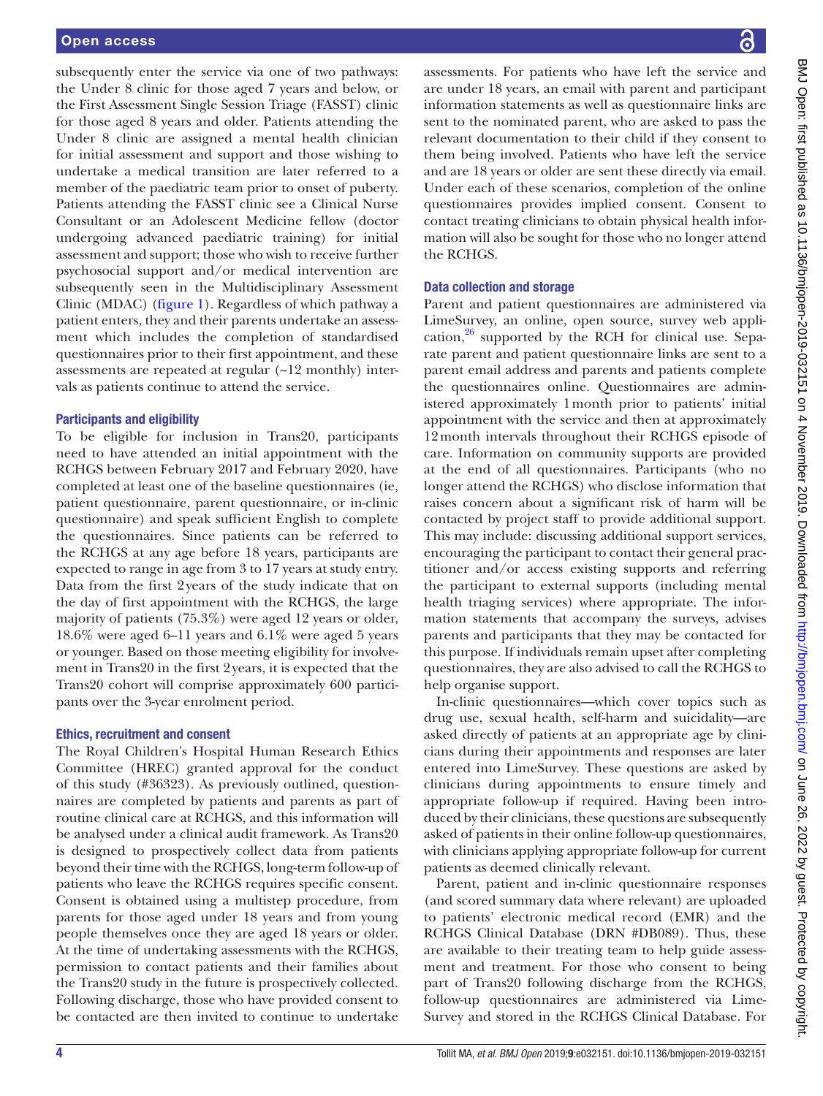subsequently enter the service via one of two pathways: the Under 8 clinic for those aged 7 years and below, or the First Assessment Single Session Triage (FASST) clinic for those aged 8 years and older. Patients attending the Under 8 clinic are assigned a mental health clinician for initial assessment and support and those wishing to undertake a medical transition are later referred to a member of the paediatric team prior to onset of puberty. Patients attending the FASST clinic see a Clinical Nurse Consultant or an Adolescent Medicine fellow (doctor undergoing advanced paediatric training) for initial assessment and support; those who wish to receive further psychosocial support and/or medical intervention are subsequently seen in the Multidisciplinary Assessment Clinic (MDAC) [\(figure](#page-2-0) 1). Regardless of which pathway a patient enters, they and their parents undertake an assessment which includes the completion of standardised questionnaires prior to their first appointment, and these assessments are repeated at regular (~12 monthly) intervals as patients continue to attend the service.

#### Participants and eligibility

To be eligible for inclusion in Trans20, participants need to have attended an initial appointment with the RCHGS between February 2017 and February 2020, have completed at least one of the baseline questionnaires (ie, patient questionnaire, parent questionnaire, or in-clinic questionnaire) and speak sufficient English to complete the questionnaires. Since patients can be referred to the RCHGS at any age before 18 years, participants are expected to range in age from 3 to 17 years at study entry. Data from the first 2years of the study indicate that on the day of first appointment with the RCHGS, the large majority of patients (75.3%) were aged 12 years or older, 18.6% were aged 6–11 years and 6.1% were aged 5 years or younger. Based on those meeting eligibility for involvement in Trans20 in the first 2years, it is expected that the Trans20 cohort will comprise approximately 600 participants over the 3-year enrolment period.

#### Ethics, recruitment and consent

The Royal Children's Hospital Human Research Ethics Committee (HREC) granted approval for the conduct of this study (#36323). As previously outlined, questionnaires are completed by patients and parents as part of routine clinical care at RCHGS, and this information will be analysed under a clinical audit framework. As Trans20 is designed to prospectively collect data from patients beyond their time with the RCHGS, long-term follow-up of patients who leave the RCHGS requires specific consent. Consent is obtained using a multistep procedure, from parents for those aged under 18 years and from young people themselves once they are aged 18 years or older. At the time of undertaking assessments with the RCHGS, permission to contact patients and their families about the Trans20 study in the future is prospectively collected. Following discharge, those who have provided consent to be contacted are then invited to continue to undertake

assessments. For patients who have left the service and are under 18 years, an email with parent and participant information statements as well as questionnaire links are sent to the nominated parent, who are asked to pass the relevant documentation to their child if they consent to them being involved. Patients who have left the service and are 18 years or older are sent these directly via email. Under each of these scenarios, completion of the online questionnaires provides implied consent. Consent to contact treating clinicians to obtain physical health information will also be sought for those who no longer attend the RCHGS.

#### Data collection and storage

Parent and patient questionnaires are administered via LimeSurvey, an online, open source, survey web application, $26$  supported by the RCH for clinical use. Separate parent and patient questionnaire links are sent to a parent email address and parents and patients complete the questionnaires online. Questionnaires are administered approximately 1month prior to patients' initial appointment with the service and then at approximately 12month intervals throughout their RCHGS episode of care. Information on community supports are provided at the end of all questionnaires. Participants (who no longer attend the RCHGS) who disclose information that raises concern about a significant risk of harm will be contacted by project staff to provide additional support. This may include: discussing additional support services, encouraging the participant to contact their general practitioner and/or access existing supports and referring the participant to external supports (including mental health triaging services) where appropriate. The information statements that accompany the surveys, advises parents and participants that they may be contacted for this purpose. If individuals remain upset after completing questionnaires, they are also advised to call the RCHGS to help organise support.

In-clinic questionnaires—which cover topics such as drug use, sexual health, self-harm and suicidality—are asked directly of patients at an appropriate age by clinicians during their appointments and responses are later entered into LimeSurvey. These questions are asked by clinicians during appointments to ensure timely and appropriate follow-up if required. Having been introduced by their clinicians, these questions are subsequently asked of patients in their online follow-up questionnaires, with clinicians applying appropriate follow-up for current patients as deemed clinically relevant.

Parent, patient and in-clinic questionnaire responses (and scored summary data where relevant) are uploaded to patients' electronic medical record (EMR) and the RCHGS Clinical Database (DRN #DB089). Thus, these are available to their treating team to help guide assessment and treatment. For those who consent to being part of Trans20 following discharge from the RCHGS, follow-up questionnaires are administered via Lime-Survey and stored in the RCHGS Clinical Database. For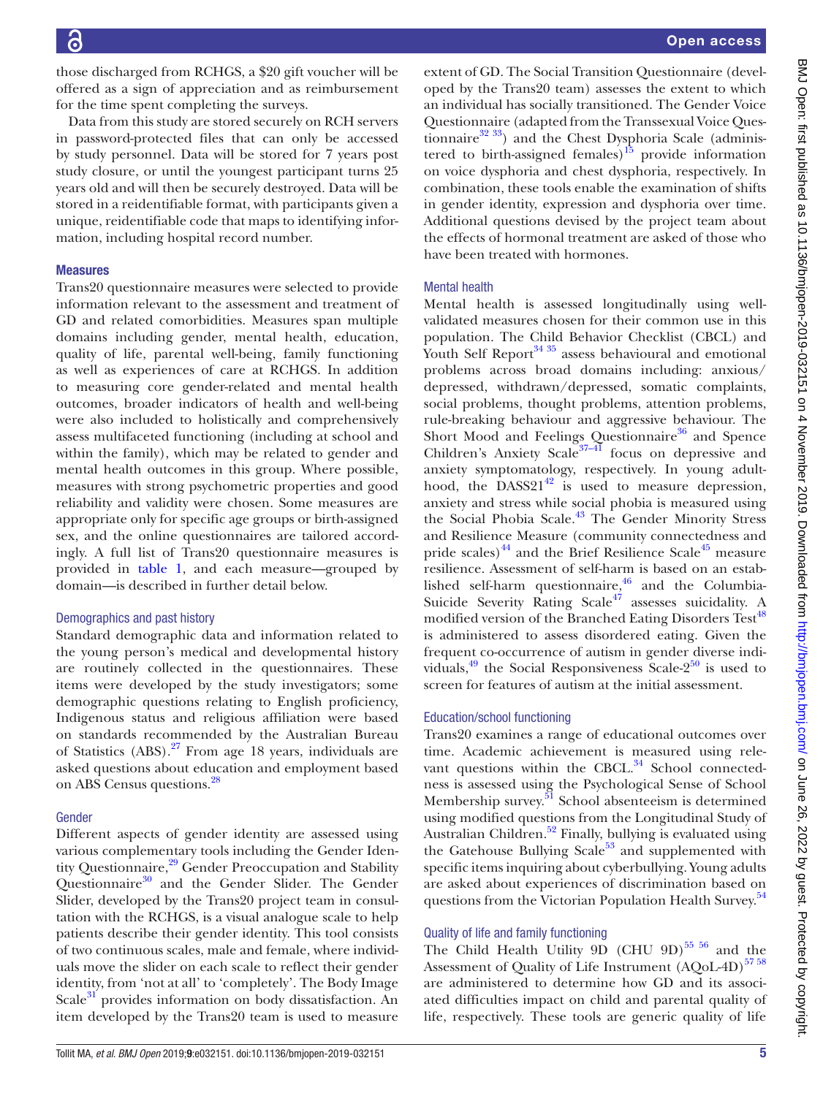those discharged from RCHGS, a \$20 gift voucher will be offered as a sign of appreciation and as reimbursement for the time spent completing the surveys.

Data from this study are stored securely on RCH servers in password-protected files that can only be accessed by study personnel. Data will be stored for 7 years post study closure, or until the youngest participant turns 25 years old and will then be securely destroyed. Data will be stored in a reidentifiable format, with participants given a unique, reidentifiable code that maps to identifying information, including hospital record number.

#### Measures

Trans20 questionnaire measures were selected to provide information relevant to the assessment and treatment of GD and related comorbidities. Measures span multiple domains including gender, mental health, education, quality of life, parental well-being, family functioning as well as experiences of care at RCHGS. In addition to measuring core gender-related and mental health outcomes, broader indicators of health and well-being were also included to holistically and comprehensively assess multifaceted functioning (including at school and within the family), which may be related to gender and mental health outcomes in this group. Where possible, measures with strong psychometric properties and good reliability and validity were chosen. Some measures are appropriate only for specific age groups or birth-assigned sex, and the online questionnaires are tailored accordingly. A full list of Trans20 questionnaire measures is provided in [table](#page-5-0) 1, and each measure—grouped by domain—is described in further detail below.

#### Demographics and past history

Standard demographic data and information related to the young person's medical and developmental history are routinely collected in the questionnaires. These items were developed by the study investigators; some demographic questions relating to English proficiency, Indigenous status and religious affiliation were based on standards recommended by the Australian Bureau of Statistics  $(ABS)$ .<sup>27</sup> From age 18 years, individuals are asked questions about education and employment based on ABS Census questions.[28](#page-9-7)

#### Gender

Different aspects of gender identity are assessed using various complementary tools including the Gender Identity Questionnaire,<sup>29</sup> Gender Preoccupation and Stability Questionnaire<sup>30</sup> and the Gender Slider. The Gender Slider, developed by the Trans20 project team in consultation with the RCHGS, is a visual analogue scale to help patients describe their gender identity. This tool consists of two continuous scales, male and female, where individuals move the slider on each scale to reflect their gender identity, from 'not at all' to 'completely'. The Body Image Scale<sup>31</sup> provides information on body dissatisfaction. An item developed by the Trans20 team is used to measure

extent of GD. The Social Transition Questionnaire (developed by the Trans20 team) assesses the extent to which an individual has socially transitioned. The Gender Voice Questionnaire (adapted from the Transsexual Voice Questionnaire $32\frac{33}{2}$ ) and the Chest Dysphoria Scale (administered to birth-assigned females)<sup>15</sup> provide information on voice dysphoria and chest dysphoria, respectively. In combination, these tools enable the examination of shifts in gender identity, expression and dysphoria over time. Additional questions devised by the project team about the effects of hormonal treatment are asked of those who have been treated with hormones.

#### Mental health

Mental health is assessed longitudinally using wellvalidated measures chosen for their common use in this population. The Child Behavior Checklist (CBCL) and Youth Self Report $3435$  assess behavioural and emotional problems across broad domains including: anxious/ depressed, withdrawn/depressed, somatic complaints, social problems, thought problems, attention problems, rule-breaking behaviour and aggressive behaviour. The Short Mood and Feelings Questionnaire $36$  and Spence Children's Anxiety Scale<sup>37–41</sup> focus on depressive and anxiety symptomatology, respectively. In young adulthood, the DASS21 $^{42}$  $^{42}$  $^{42}$  is used to measure depression, anxiety and stress while social phobia is measured using the Social Phobia Scale.<sup>43</sup> The Gender Minority Stress and Resilience Measure (community connectedness and pride scales) $^{44}$  and the Brief Resilience Scale<sup>45</sup> measure resilience. Assessment of self-harm is based on an established self-harm questionnaire, $46$  and the Columbia-Suicide Severity Rating Scale<sup>47</sup> assesses suicidality. A modified version of the Branched Eating Disorders Test<sup>[48](#page-9-22)</sup> is administered to assess disordered eating. Given the frequent co-occurrence of autism in gender diverse individuals,  $49$  the Social Responsiveness Scale- $2^{50}$  is used to screen for features of autism at the initial assessment.

#### Education/school functioning

Trans20 examines a range of educational outcomes over time. Academic achievement is measured using relevant questions within the CBCL. $34$  School connectedness is assessed using the Psychological Sense of School Membership survey.<sup>51</sup> School absenteeism is determined using modified questions from the Longitudinal Study of Australian Children.<sup>52</sup> Finally, bullying is evaluated using the Gatehouse Bullying Scale $53$  and supplemented with specific items inquiring about cyberbullying. Young adults are asked about experiences of discrimination based on questions from the Victorian Population Health Survey.<sup>[54](#page-9-28)</sup>

#### Quality of life and family functioning

The Child Health Utility  $9D$  (CHU  $9D$ )<sup>55 56</sup> and the Assessment of Quality of Life Instrument (AQoL-4D)<sup>57 58</sup> are administered to determine how GD and its associated difficulties impact on child and parental quality of life, respectively. These tools are generic quality of life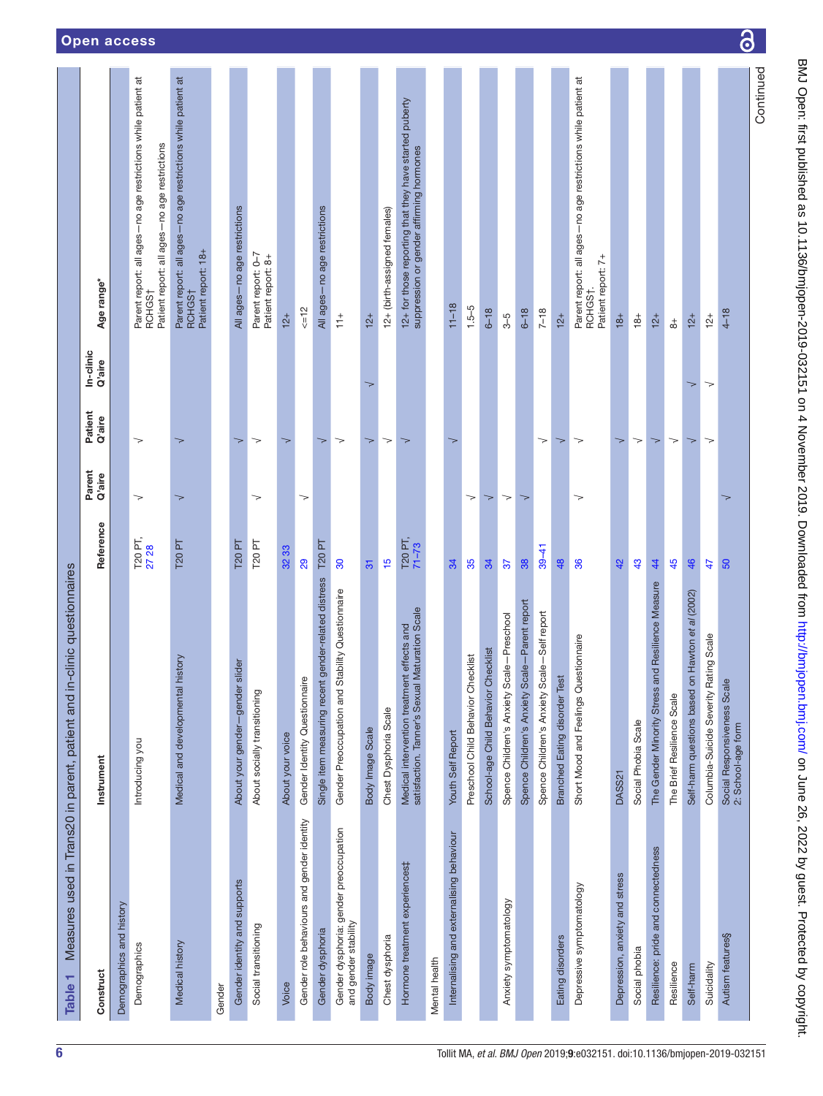| Measures used in Trans20 in parent, patient and in<br>٣<br><b>Table</b> | clinic questionnaires                                                                                         |                      |                  |                   |                     |                                                                                                                                    |
|-------------------------------------------------------------------------|---------------------------------------------------------------------------------------------------------------|----------------------|------------------|-------------------|---------------------|------------------------------------------------------------------------------------------------------------------------------------|
| Construct                                                               | Instrument                                                                                                    | Reference            | Parent<br>Q'aire | Patient<br>Q'aire | In-clinic<br>Q'aire | Age range*                                                                                                                         |
| Demographics and history                                                |                                                                                                               |                      |                  |                   |                     |                                                                                                                                    |
| Demographics                                                            | Introducing you                                                                                               | T20 PT,<br>27 28     | >                | >                 |                     | Parent report: all ages-no age restrictions while patient at<br>Patient report: all ages-no age restrictions<br>RCHGS <sub>T</sub> |
| Medical history                                                         | Medical and developmental history                                                                             | T20 PT               | $\Rightarrow$    | >                 |                     | Parent report: all ages-no age restrictions while patient at<br>Patient report: 18+<br>RCHGS <sub>T</sub>                          |
| Gender                                                                  |                                                                                                               |                      |                  |                   |                     |                                                                                                                                    |
| Gender identity and supports                                            | slider<br>About your gender-gender                                                                            | T20 PT               |                  | >                 |                     | All ages-no age restrictions                                                                                                       |
| Social transitioning                                                    | About socially transitioning                                                                                  | T20 PT               | >                | >                 |                     | Parent report: 0-7<br>Patient report: 8+                                                                                           |
| Voice                                                                   | About your voice                                                                                              | 32 33                |                  | >                 |                     | $12 +$                                                                                                                             |
| Gender role behaviours and gender identity                              | Gender Identity Questionnaire                                                                                 | 29                   | ↘                |                   |                     | $\leq 12$                                                                                                                          |
| Gender dysphoria                                                        | gender-related distress<br>Single item measuring recent                                                       | T20 PT               |                  | >                 |                     | All ages-no age restrictions                                                                                                       |
| Gender dysphoria: gender preoccupation<br>and gender stability          | Gender Preoccupation and Stability Questionnaire                                                              | 80                   |                  | >                 |                     | $\frac{+}{11}$                                                                                                                     |
| Body image                                                              | Body Image Scale                                                                                              | 5                    |                  | 7                 |                     | $12 +$                                                                                                                             |
| Chest dysphoria                                                         | Chest Dysphoria Scale                                                                                         | $\frac{5}{1}$        |                  | >                 |                     | 12+ (birth-assigned females)                                                                                                       |
| Hormone treatment experiences‡                                          | Maturation Scale<br>Medical intervention treatment effects and<br>satisfaction. Tanner's Sexual Maturation So | T20 PT,<br>$71 - 73$ |                  | $\rightarrow$     |                     | 12+ for those reporting that they have started puberty<br>suppression or gender affirming hormones                                 |
| Mental health                                                           |                                                                                                               |                      |                  |                   |                     |                                                                                                                                    |
| Internalising and externalising behaviour                               | <b>Youth Self Report</b>                                                                                      | $\mathfrak{F}$       |                  | >                 |                     | $11 - 18$                                                                                                                          |
|                                                                         | Preschool Child Behavior Checklist                                                                            | 35                   | >                |                   |                     | $1.5 - 5$                                                                                                                          |
|                                                                         | School-age Child Behavior Checklist                                                                           | $\frac{3}{4}$        | >                |                   |                     | $6 - 18$                                                                                                                           |
| Anxiety symptomatology                                                  | Spence Children's Anxiety Scale-Preschool                                                                     | 57                   | >                |                   |                     | 3-5                                                                                                                                |
|                                                                         | Spence Children's Anxiety Scale-Parent report                                                                 | 88                   | >                |                   |                     | $6 - 18$                                                                                                                           |
|                                                                         | Spence Children's Anxiety Scale-Self report                                                                   | $39 - 41$            |                  | >                 |                     | $7 - 18$                                                                                                                           |
| Eating disorders                                                        | Branched Eating disorder Tes                                                                                  | 48                   |                  | >                 |                     | $12 +$                                                                                                                             |
| Depressive symptomatology                                               | Short Mood and Feelings Questionnaire                                                                         | 86                   | >                | >                 |                     | Parent report: all ages-no age restrictions while patient at<br>Patient report: 7+<br>RCHGS <sup>-</sup>                           |
| Depression, anxiety and stress                                          | <b>DASS21</b>                                                                                                 | $\overline{4}$       |                  | ↘                 |                     | $18 +$                                                                                                                             |
| Social phobia                                                           | Social Phobia Scale                                                                                           | $\overline{a}$       |                  | >                 |                     | $+84$                                                                                                                              |
| Resilience: pride and connectedness                                     | nd Resilience Measure<br>The Gender Minority Stress ar                                                        | $\overline{4}$       |                  | >                 |                     | $12 +$                                                                                                                             |
| Resilience                                                              | The Brief Resilience Scale                                                                                    | 45                   |                  | ↘                 |                     | $\frac{1}{6}$                                                                                                                      |
| Self-harm                                                               | Self-harm questions based on Hawton et al (2002)                                                              | 46                   |                  | ↘                 | ↘                   | $12 +$                                                                                                                             |
| Suicidality                                                             | Columbia-Suicide Severity Rating Scale                                                                        | $\overline{4}$       |                  | ⇁                 | >                   | $12 +$                                                                                                                             |
| Autism features§                                                        | Social Responsiveness Scale<br>2: School-age form                                                             | <b>SO</b>            | >                |                   |                     | $4 - 18$                                                                                                                           |
|                                                                         |                                                                                                               |                      |                  |                   |                     | Continued                                                                                                                          |

<span id="page-5-0"></span>6 Tollit MA, *et al*. *BMJ Open* 2019; 9:e032151. doi:10.1136/bmjopen-2019-032151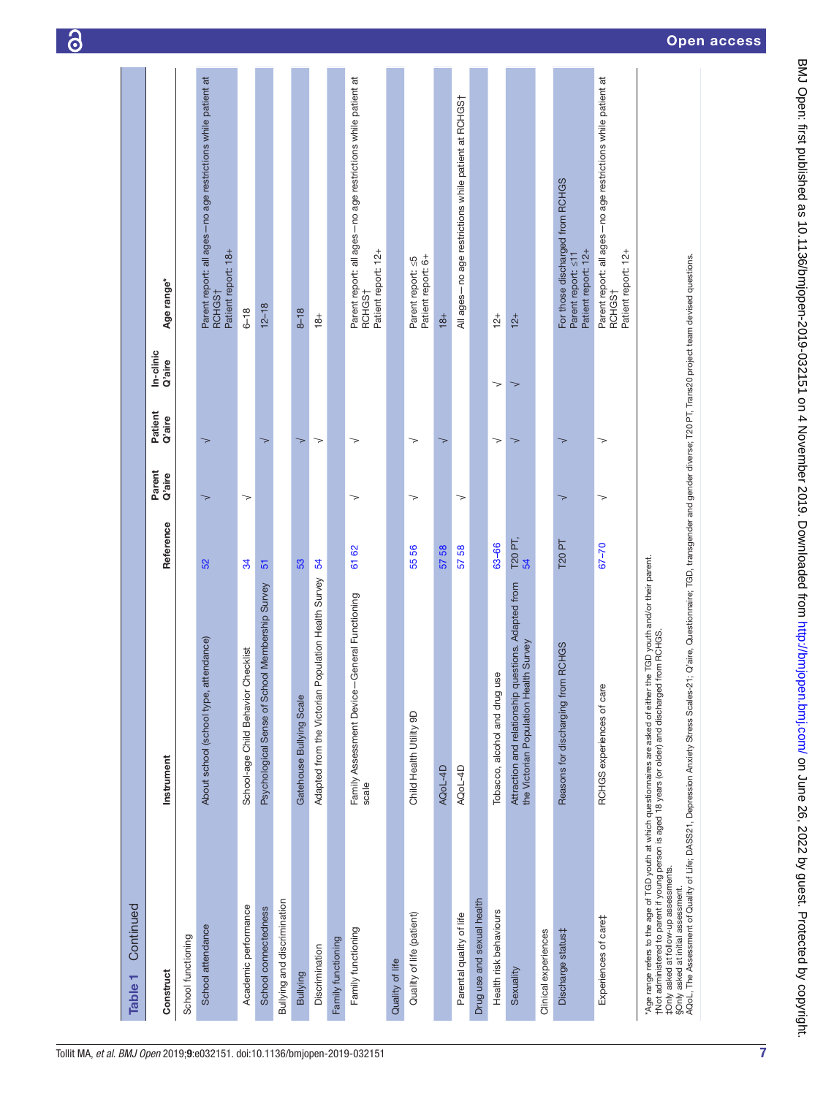| Continued<br>┯<br><b>Table</b>                                                                                                                                                     |                                                                                                                                                                                                                                                                                         |               |                  |                   |                     |                                                                                                           |
|------------------------------------------------------------------------------------------------------------------------------------------------------------------------------------|-----------------------------------------------------------------------------------------------------------------------------------------------------------------------------------------------------------------------------------------------------------------------------------------|---------------|------------------|-------------------|---------------------|-----------------------------------------------------------------------------------------------------------|
| Construct                                                                                                                                                                          | Instrument                                                                                                                                                                                                                                                                              | Reference     | Parent<br>Q'aire | Patient<br>Q'aire | In-clinic<br>Q'aire | Age range*                                                                                                |
| School functioning                                                                                                                                                                 |                                                                                                                                                                                                                                                                                         |               |                  |                   |                     |                                                                                                           |
| School attendance                                                                                                                                                                  | About school (school type, attendance)                                                                                                                                                                                                                                                  | 52            | >                | ∍                 |                     | Parent report: all ages-no age restrictions while patient at<br>Patient report: 18+<br>RCHGS <sup>+</sup> |
| Academic performance                                                                                                                                                               | School-age Child Behavior Checklist                                                                                                                                                                                                                                                     | $\frac{4}{5}$ | $\Rightarrow$    |                   |                     | $6 - 18$                                                                                                  |
| School connectedness                                                                                                                                                               | Psychological Sense of School Membership Survey                                                                                                                                                                                                                                         | 5             |                  | >                 |                     | $12 - 18$                                                                                                 |
| Bullying and discrimination                                                                                                                                                        |                                                                                                                                                                                                                                                                                         |               |                  |                   |                     |                                                                                                           |
| <b>Bullying</b>                                                                                                                                                                    | Gatehouse Bullying Scale                                                                                                                                                                                                                                                                | S3            |                  | ↘                 |                     | $8 - 18$                                                                                                  |
| Discrimination                                                                                                                                                                     | Adapted from the Victorian Population Health Survey                                                                                                                                                                                                                                     | $\mathbf{r}$  |                  | >                 |                     | $18 +$                                                                                                    |
| Family functioning                                                                                                                                                                 |                                                                                                                                                                                                                                                                                         |               |                  |                   |                     |                                                                                                           |
| Family functioning                                                                                                                                                                 | General Functioning<br>Family Assessment Device-<br>scale                                                                                                                                                                                                                               | 61 62         | >                | >                 |                     | Parent report: all ages-no age restrictions while patient at<br>Patient report: 12+<br>RCHGS <sub>T</sub> |
| Quality of life                                                                                                                                                                    |                                                                                                                                                                                                                                                                                         |               |                  |                   |                     |                                                                                                           |
| Quality of life (patient)                                                                                                                                                          | Child Health Utility 9D                                                                                                                                                                                                                                                                 | 55 56         | >                | >                 |                     | Patient report: 6+<br>Parent report: <5                                                                   |
|                                                                                                                                                                                    | AQoL-4D                                                                                                                                                                                                                                                                                 | 5758          |                  | >                 |                     | $+81$                                                                                                     |
| Parental quality of life                                                                                                                                                           | AQoL-4D                                                                                                                                                                                                                                                                                 | 5758          | ⇁                |                   |                     | All ages-no age restrictions while patient at RCHGS†                                                      |
| Drug use and sexual health                                                                                                                                                         |                                                                                                                                                                                                                                                                                         |               |                  |                   |                     |                                                                                                           |
| Health risk behaviours                                                                                                                                                             | Tobacco, alcohol and drug use                                                                                                                                                                                                                                                           | $63 - 66$     |                  | >                 | >                   | $12 +$                                                                                                    |
| Sexuality                                                                                                                                                                          | Attraction and relationship questions. Adapted from<br>Ith Survey<br>the Victorian Population Hea                                                                                                                                                                                       | T20 PT,<br>54 |                  | 7                 | ↘                   | $12 +$                                                                                                    |
| Clinical experiences                                                                                                                                                               |                                                                                                                                                                                                                                                                                         |               |                  |                   |                     |                                                                                                           |
| Discharge status‡                                                                                                                                                                  | Reasons for discharging from RCHGS                                                                                                                                                                                                                                                      | <b>T20 PT</b> | ▽                | ▽                 |                     | For those discharged from RCHGS<br>Patient report: 12+<br>Parent report: <11                              |
| Experiences of care‡                                                                                                                                                               | RCHGS experiences of care                                                                                                                                                                                                                                                               | $67 - 70$     | >                | >                 |                     | Parent report: all ages-no age restrictions while patient at<br>Patient report: 12+<br>RCHGS <sup>+</sup> |
| "Age range refers to the age of TGD youth at which questionnaires are asked of either th<br>tNot administered to parent if young person is aged 18 years (or older) and discharged | ‡Only asked at follow-up assessments.<br>§Only asked at initial assessment.<br>AQoL, The Assessment of Quality of Life; DASS21, Depression Anxiety Stress Scales-21; Q`aire, Questionnaire; TGD, transgender and gender diverse; T2<br>he TGD youth and/or their parent.<br>from RCHGS. |               |                  |                   |                     |                                                                                                           |

6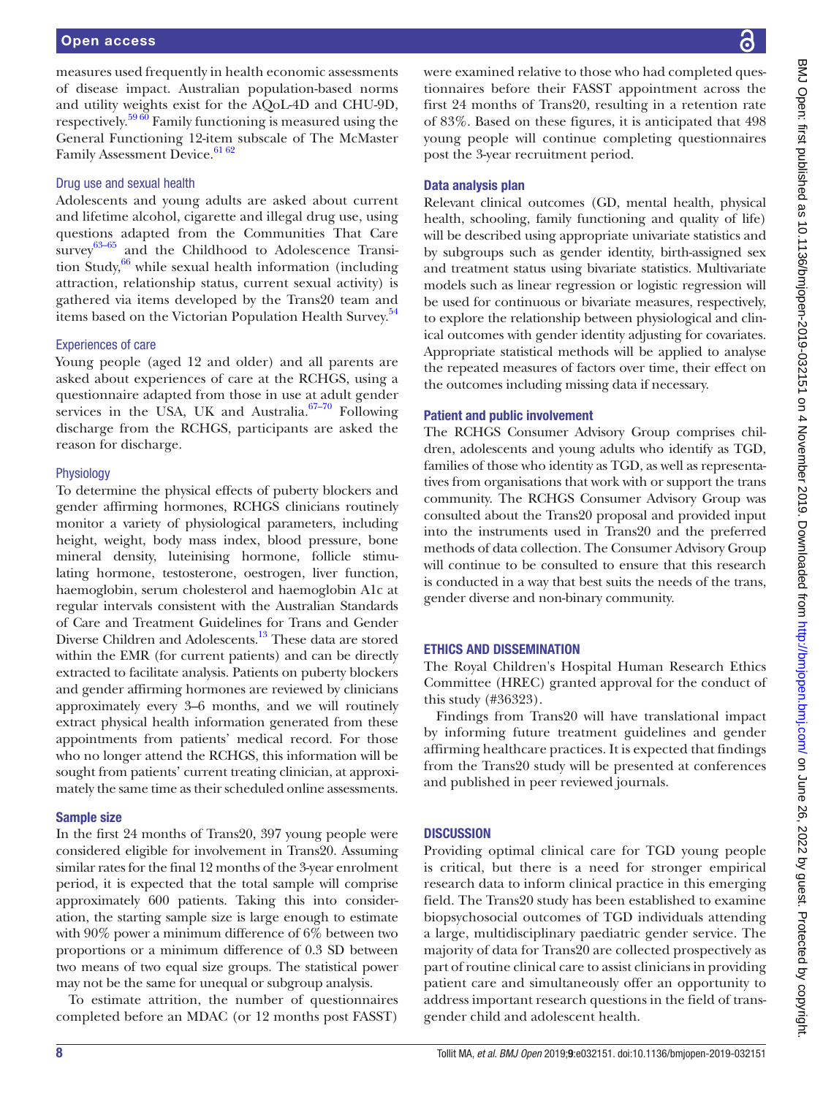measures used frequently in health economic assessments of disease impact. Australian population-based norms and utility weights exist for the AQoL-4D and CHU-9D, respectively.<sup>59 60</sup> Family functioning is measured using the General Functioning 12-item subscale of The McMaster Family Assessment Device.<sup>[61 62](#page-9-34)</sup>

#### Drug use and sexual health

Adolescents and young adults are asked about current and lifetime alcohol, cigarette and illegal drug use, using questions adapted from the Communities That Care survey<sup>63-65</sup> and the Childhood to Adolescence Transition Study, $66$  while sexual health information (including attraction, relationship status, current sexual activity) is gathered via items developed by the Trans20 team and items based on the Victorian Population Health Survey.<sup>[54](#page-9-28)</sup>

#### Experiences of care

Young people (aged 12 and older) and all parents are asked about experiences of care at the RCHGS, using a questionnaire adapted from those in use at adult gender services in the USA, UK and Australia. $67-70$  Following discharge from the RCHGS, participants are asked the reason for discharge.

#### Physiology

To determine the physical effects of puberty blockers and gender affirming hormones, RCHGS clinicians routinely monitor a variety of physiological parameters, including height, weight, body mass index, blood pressure, bone mineral density, luteinising hormone, follicle stimulating hormone, testosterone, oestrogen, liver function, haemoglobin, serum cholesterol and haemoglobin A1c at regular intervals consistent with the Australian Standards of Care and Treatment Guidelines for Trans and Gender Diverse Children and Adolescents.<sup>13</sup> These data are stored within the EMR (for current patients) and can be directly extracted to facilitate analysis. Patients on puberty blockers and gender affirming hormones are reviewed by clinicians approximately every 3–6 months, and we will routinely extract physical health information generated from these appointments from patients' medical record. For those who no longer attend the RCHGS, this information will be sought from patients' current treating clinician, at approximately the same time as their scheduled online assessments.

#### Sample size

In the first 24 months of Trans20, 397 young people were considered eligible for involvement in Trans20. Assuming similar rates for the final 12 months of the 3-year enrolment period, it is expected that the total sample will comprise approximately 600 patients. Taking this into consideration, the starting sample size is large enough to estimate with 90% power a minimum difference of 6% between two proportions or a minimum difference of 0.3 SD between two means of two equal size groups. The statistical power may not be the same for unequal or subgroup analysis.

To estimate attrition, the number of questionnaires completed before an MDAC (or 12 months post FASST)

were examined relative to those who had completed questionnaires before their FASST appointment across the first 24 months of Trans20, resulting in a retention rate of 83%. Based on these figures, it is anticipated that 498 young people will continue completing questionnaires post the 3-year recruitment period.

#### Data analysis plan

Relevant clinical outcomes (GD, mental health, physical health, schooling, family functioning and quality of life) will be described using appropriate univariate statistics and by subgroups such as gender identity, birth-assigned sex and treatment status using bivariate statistics. Multivariate models such as linear regression or logistic regression will be used for continuous or bivariate measures, respectively, to explore the relationship between physiological and clinical outcomes with gender identity adjusting for covariates. Appropriate statistical methods will be applied to analyse the repeated measures of factors over time, their effect on the outcomes including missing data if necessary.

#### Patient and public involvement

The RCHGS Consumer Advisory Group comprises children, adolescents and young adults who identify as TGD, families of those who identity as TGD, as well as representatives from organisations that work with or support the trans community. The RCHGS Consumer Advisory Group was consulted about the Trans20 proposal and provided input into the instruments used in Trans20 and the preferred methods of data collection. The Consumer Advisory Group will continue to be consulted to ensure that this research is conducted in a way that best suits the needs of the trans, gender diverse and non-binary community.

#### Ethics and dissemination

The Royal Children's Hospital Human Research Ethics Committee (HREC) granted approval for the conduct of this study (#36323).

Findings from Trans20 will have translational impact by informing future treatment guidelines and gender affirming healthcare practices. It is expected that findings from the Trans20 study will be presented at conferences and published in peer reviewed journals.

#### **DISCUSSION**

Providing optimal clinical care for TGD young people is critical, but there is a need for stronger empirical research data to inform clinical practice in this emerging field. The Trans20 study has been established to examine biopsychosocial outcomes of TGD individuals attending a large, multidisciplinary paediatric gender service. The majority of data for Trans20 are collected prospectively as part of routine clinical care to assist clinicians in providing patient care and simultaneously offer an opportunity to address important research questions in the field of transgender child and adolescent health.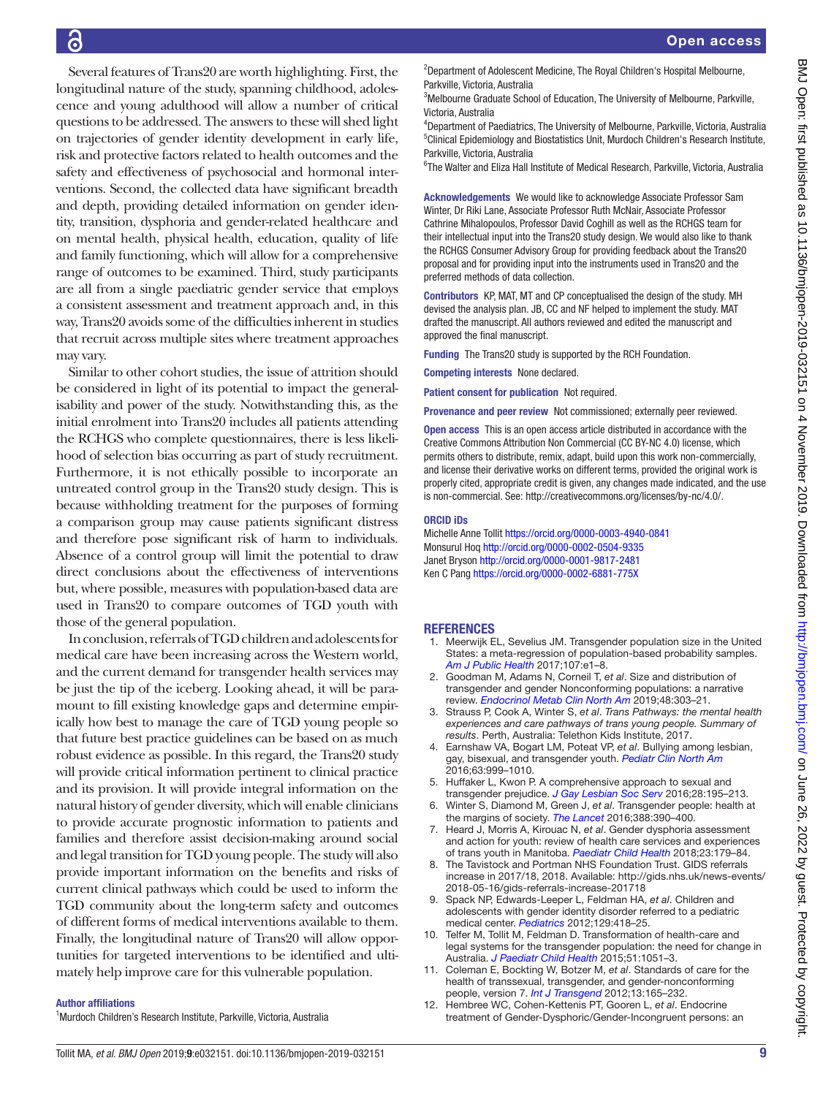6

Several features of Trans20 are worth highlighting. First, the longitudinal nature of the study, spanning childhood, adolescence and young adulthood will allow a number of critical questions to be addressed. The answers to these will shed light on trajectories of gender identity development in early life, risk and protective factors related to health outcomes and the safety and effectiveness of psychosocial and hormonal interventions. Second, the collected data have significant breadth and depth, providing detailed information on gender identity, transition, dysphoria and gender-related healthcare and on mental health, physical health, education, quality of life and family functioning, which will allow for a comprehensive range of outcomes to be examined. Third, study participants are all from a single paediatric gender service that employs a consistent assessment and treatment approach and, in this way, Trans20 avoids some of the difficulties inherent in studies that recruit across multiple sites where treatment approaches may vary.

Similar to other cohort studies, the issue of attrition should be considered in light of its potential to impact the generalisability and power of the study. Notwithstanding this, as the initial enrolment into Trans20 includes all patients attending the RCHGS who complete questionnaires, there is less likelihood of selection bias occurring as part of study recruitment. Furthermore, it is not ethically possible to incorporate an untreated control group in the Trans20 study design. This is because withholding treatment for the purposes of forming a comparison group may cause patients significant distress and therefore pose significant risk of harm to individuals. Absence of a control group will limit the potential to draw direct conclusions about the effectiveness of interventions but, where possible, measures with population-based data are used in Trans20 to compare outcomes of TGD youth with those of the general population.

In conclusion, referrals of TGD children and adolescents for medical care have been increasing across the Western world, and the current demand for transgender health services may be just the tip of the iceberg. Looking ahead, it will be paramount to fill existing knowledge gaps and determine empirically how best to manage the care of TGD young people so that future best practice guidelines can be based on as much robust evidence as possible. In this regard, the Trans20 study will provide critical information pertinent to clinical practice and its provision. It will provide integral information on the natural history of gender diversity, which will enable clinicians to provide accurate prognostic information to patients and families and therefore assist decision-making around social and legal transition for TGD young people. The study will also provide important information on the benefits and risks of current clinical pathways which could be used to inform the TGD community about the long-term safety and outcomes of different forms of medical interventions available to them. Finally, the longitudinal nature of Trans20 will allow opportunities for targeted interventions to be identified and ultimately help improve care for this vulnerable population.

#### Author affiliations

<sup>1</sup>Murdoch Children's Research Institute, Parkville, Victoria, Australia

<sup>2</sup>Department of Adolescent Medicine, The Royal Children's Hospital Melbourne, Parkville, Victoria, Australia

<sup>3</sup>Melbourne Graduate School of Education, The University of Melbourne, Parkville, Victoria, Australia

4 Department of Paediatrics, The University of Melbourne, Parkville, Victoria, Australia <sup>5</sup>Clinical Epidemiology and Biostatistics Unit, Murdoch Children's Research Institute, Parkville, Victoria, Australia

<sup>6</sup>The Walter and Eliza Hall Institute of Medical Research, Parkville, Victoria, Australia

Acknowledgements We would like to acknowledge Associate Professor Sam Winter, Dr Riki Lane, Associate Professor Ruth McNair, Associate Professor Cathrine Mihalopoulos, Professor David Coghill as well as the RCHGS team for their intellectual input into the Trans20 study design. We would also like to thank the RCHGS Consumer Advisory Group for providing feedback about the Trans20 proposal and for providing input into the instruments used in Trans20 and the preferred methods of data collection.

Contributors KP, MAT, MT and CP conceptualised the design of the study. MH devised the analysis plan. JB, CC and NF helped to implement the study. MAT drafted the manuscript. All authors reviewed and edited the manuscript and approved the final manuscript.

Funding The Trans20 study is supported by the RCH Foundation.

Competing interests None declared.

Patient consent for publication Not required.

Provenance and peer review Not commissioned; externally peer reviewed.

**Open access** This is an open access article distributed in accordance with the Creative Commons Attribution Non Commercial (CC BY-NC 4.0) license, which permits others to distribute, remix, adapt, build upon this work non-commercially, and license their derivative works on different terms, provided the original work is properly cited, appropriate credit is given, any changes made indicated, and the use is non-commercial. See: [http://creativecommons.org/licenses/by-nc/4.0/.](http://creativecommons.org/licenses/by-nc/4.0/)

#### ORCID iDs

Michelle Anne Tollit <https://orcid.org/0000-0003-4940-0841> Monsurul Hoq <http://orcid.org/0000-0002-0504-9335> Janet Bryson<http://orcid.org/0000-0001-9817-2481> Ken C Pang <https://orcid.org/0000-0002-6881-775X>

#### **REFERENCES**

- <span id="page-8-0"></span>1. Meerwijk EL, Sevelius JM. Transgender population size in the United States: a meta-regression of population-based probability samples. *[Am J Public Health](http://dx.doi.org/10.2105/AJPH.2016.303578)* 2017;107:e1–8.
- <span id="page-8-1"></span>2. Goodman M, Adams N, Corneil T, *et al*. Size and distribution of transgender and gender Nonconforming populations: a narrative review. *[Endocrinol Metab Clin North Am](http://dx.doi.org/10.1016/j.ecl.2019.01.001)* 2019;48:303–21.
- <span id="page-8-2"></span>3. Strauss P, Cook A, Winter S, *et al*. *Trans Pathways: the mental health experiences and care pathways of trans young people. Summary of results*. Perth, Australia: Telethon Kids Institute, 2017.
- 4. Earnshaw VA, Bogart LM, Poteat VP, *et al*. Bullying among lesbian, gay, bisexual, and transgender youth. *[Pediatr Clin North Am](http://dx.doi.org/10.1016/j.pcl.2016.07.004)* 2016;63:999–1010.
- 5. Huffaker L, Kwon P. A comprehensive approach to sexual and transgender prejudice. *[J Gay Lesbian Soc Serv](http://dx.doi.org/10.1080/10538720.2016.1191405)* 2016;28:195–213.
- 6. Winter S, Diamond M, Green J, *et al*. Transgender people: health at the margins of society. *[The Lancet](http://dx.doi.org/10.1016/S0140-6736(16)00683-8)* 2016;388:390–400.
- <span id="page-8-3"></span>7. Heard J, Morris A, Kirouac N, *et al*. Gender dysphoria assessment and action for youth: review of health care services and experiences of trans youth in Manitoba. *[Paediatr Child Health](http://dx.doi.org/10.1093/pch/pxx156)* 2018;23:179–84.
- 8. The Tavistock and Portman NHS Foundation Trust. GIDS referrals increase in 2017/18, 2018. Available: [http://gids.nhs.uk/news-events/](http://gids.nhs.uk/news-events/2018-05-16/gids-referrals-increase-201718) [2018-05-16/gids-referrals-increase-201718](http://gids.nhs.uk/news-events/2018-05-16/gids-referrals-increase-201718)
- 9. Spack NP, Edwards-Leeper L, Feldman HA, *et al*. Children and adolescents with gender identity disorder referred to a pediatric medical center. *[Pediatrics](http://dx.doi.org/10.1542/peds.2011-0907)* 2012;129:418–25.
- 10. Telfer M, Tollit M, Feldman D. Transformation of health-care and legal systems for the transgender population: the need for change in Australia. *[J Paediatr Child Health](http://dx.doi.org/10.1111/jpc.12994)* 2015;51:1051–3.
- <span id="page-8-4"></span>11. Coleman E, Bockting W, Botzer M, *et al*. Standards of care for the health of transsexual, transgender, and gender-nonconforming people, version 7. *[Int J Transgend](http://dx.doi.org/10.1080/15532739.2011.700873)* 2012;13:165–232.
- <span id="page-8-5"></span>12. Hembree WC, Cohen-Kettenis PT, Gooren L, *et al*. Endocrine treatment of Gender-Dysphoric/Gender-Incongruent persons: an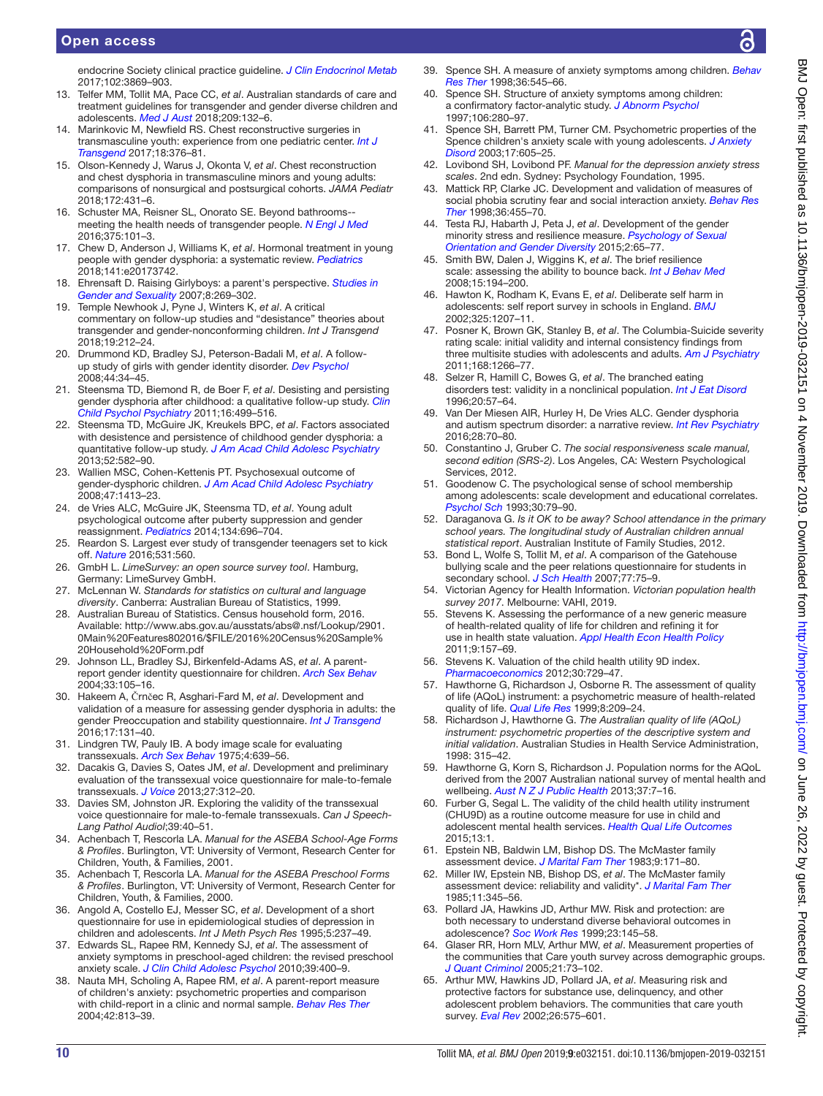### Open access

- <span id="page-9-37"></span>13. Telfer MM, Tollit MA, Pace CC, *et al*. Australian standards of care and treatment guidelines for transgender and gender diverse children and adolescents. *[Med J Aust](http://dx.doi.org/10.5694/mja17.01044)* 2018;209:132–6.
- <span id="page-9-0"></span>14. Marinkovic M, Newfield RS. Chest reconstructive surgeries in transmasculine youth: experience from one pediatric center. *[Int J](http://dx.doi.org/10.1080/15532739.2017.1349706)  [Transgend](http://dx.doi.org/10.1080/15532739.2017.1349706)* 2017;18:376–81.
- <span id="page-9-12"></span>15. Olson-Kennedy J, Warus J, Okonta V, *et al*. Chest reconstruction and chest dysphoria in transmasculine minors and young adults: comparisons of nonsurgical and postsurgical cohorts. *JAMA Pediatr* 2018;172:431–6.
- 16. Schuster MA, Reisner SL, Onorato SE. Beyond bathrooms- meeting the health needs of transgender people. *[N Engl J Med](http://dx.doi.org/10.1056/NEJMp1605912)* 2016;375:101–3.
- 17. Chew D, Anderson J, Williams K, *et al*. Hormonal treatment in young people with gender dysphoria: a systematic review. *[Pediatrics](http://dx.doi.org/10.1542/peds.2017-3742)* 2018;141:e20173742.
- <span id="page-9-1"></span>18. Ehrensaft D. Raising Girlyboys: a parent's perspective. *[Studies in](http://dx.doi.org/10.1080/15240650701226581)  [Gender and Sexuality](http://dx.doi.org/10.1080/15240650701226581)* 2007;8:269–302.
- <span id="page-9-2"></span>19. Temple Newhook J, Pyne J, Winters K, *et al*. A critical commentary on follow-up studies and "desistance" theories about transgender and gender-nonconforming children. *Int J Transgend* 2018;19:212–24.
- 20. Drummond KD, Bradley SJ, Peterson-Badali M, *et al*. A followup study of girls with gender identity disorder. *[Dev Psychol](http://dx.doi.org/10.1037/0012-1649.44.1.34)* 2008;44:34–45.
- 21. Steensma TD, Biemond R, de Boer F, *et al*. Desisting and persisting gender dysphoria after childhood: a qualitative follow-up study. *[Clin](http://dx.doi.org/10.1177/1359104510378303)  [Child Psychol Psychiatry](http://dx.doi.org/10.1177/1359104510378303)* 2011;16:499–516.
- 22. Steensma TD, McGuire JK, Kreukels BPC, *et al*. Factors associated with desistence and persistence of childhood gender dysphoria: a quantitative follow-up study. *[J Am Acad Child Adolesc Psychiatry](http://dx.doi.org/10.1016/j.jaac.2013.03.016)* 2013;52:582–90.
- 23. Wallien MSC, Cohen-Kettenis PT. Psychosexual outcome of gender-dysphoric children. *[J Am Acad Child Adolesc Psychiatry](http://dx.doi.org/10.1097/CHI.0b013e31818956b9)* 2008;47:1413–23.
- <span id="page-9-3"></span>24. de Vries ALC, McGuire JK, Steensma TD, *et al*. Young adult psychological outcome after puberty suppression and gender reassignment. *[Pediatrics](http://dx.doi.org/10.1542/peds.2013-2958)* 2014;134:696–704.
- <span id="page-9-4"></span>25. Reardon S. Largest ever study of transgender teenagers set to kick off. *[Nature](http://dx.doi.org/10.1038/531560a)* 2016;531:560.
- <span id="page-9-5"></span>26. GmbH L. *LimeSurvey: an open source survey tool*. Hamburg, Germany: LimeSurvey GmbH.
- <span id="page-9-6"></span>27. McLennan W. *Standards for statistics on cultural and language diversity*. Canberra: Australian Bureau of Statistics, 1999.
- <span id="page-9-7"></span>28. Australian Bureau of Statistics. Census household form, 2016. Available: [http://www.abs.gov.au/ausstats/abs@.nsf/Lookup/2901.](http://www.abs.gov.au/ausstats/abs@.nsf/Lookup/2901.0Main%20Features802016/$FILE/2016%20Census%20Sample%20Household%20Form.pdf) [0Main%20Features802016/\\$FILE/2016%20Census%20Sample%](http://www.abs.gov.au/ausstats/abs@.nsf/Lookup/2901.0Main%20Features802016/$FILE/2016%20Census%20Sample%20Household%20Form.pdf) [20Household%20Form.pdf](http://www.abs.gov.au/ausstats/abs@.nsf/Lookup/2901.0Main%20Features802016/$FILE/2016%20Census%20Sample%20Household%20Form.pdf)
- <span id="page-9-8"></span>29. Johnson LL, Bradley SJ, Birkenfeld-Adams AS, *et al*. A parentreport gender identity questionnaire for children. *[Arch Sex Behav](http://dx.doi.org/10.1023/B:ASEB.0000014325.68094.f3)* 2004;33:105–16.
- <span id="page-9-9"></span>30. Hakeem A, Črnčec R, Asghari-Fard M, *et al*. Development and validation of a measure for assessing gender dysphoria in adults: the gender Preoccupation and stability questionnaire. *[Int J Transgend](http://dx.doi.org/10.1080/15532739.2016.1217812)* 2016;17:131–40.
- <span id="page-9-10"></span>31. Lindgren TW, Pauly IB. A body image scale for evaluating transsexuals. *[Arch Sex Behav](http://dx.doi.org/10.1007/BF01544272)* 1975;4:639–56.
- <span id="page-9-11"></span>32. Dacakis G, Davies S, Oates JM, *et al*. Development and preliminary evaluation of the transsexual voice questionnaire for male-to-female transsexuals. *[J Voice](http://dx.doi.org/10.1016/j.jvoice.2012.11.005)* 2013;27:312–20.
- 33. Davies SM, Johnston JR. Exploring the validity of the transsexual voice questionnaire for male-to-female transsexuals. *Can J Speech-Lang Pathol Audiol*;39:40–51.
- <span id="page-9-13"></span>34. Achenbach T, Rescorla LA. *Manual for the ASEBA School-Age Forms & Profiles*. Burlington, VT: University of Vermont, Research Center for Children, Youth, & Families, 2001.
- <span id="page-9-31"></span>35. Achenbach T, Rescorla LA. *Manual for the ASEBA Preschool Forms & Profiles*. Burlington, VT: University of Vermont, Research Center for Children, Youth, & Families, 2000.
- <span id="page-9-14"></span>36. Angold A, Costello EJ, Messer SC, *et al*. Development of a short questionnaire for use in epidemiological studies of depression in children and adolescents. *Int J Meth Psych Res* 1995;5:237–49.
- <span id="page-9-15"></span>37. Edwards SL, Rapee RM, Kennedy SJ, *et al*. The assessment of anxiety symptoms in preschool-aged children: the revised preschool anxiety scale. *[J Clin Child Adolesc Psychol](http://dx.doi.org/10.1080/15374411003691701)* 2010;39:400–9.
- <span id="page-9-32"></span>38. Nauta MH, Scholing A, Rapee RM, *et al*. A parent-report measure of children's anxiety: psychometric properties and comparison with child-report in a clinic and normal sample. *[Behav Res Ther](http://dx.doi.org/10.1016/S0005-7967(03)00200-6)* 2004;42:813–39.
- <span id="page-9-33"></span>39. Spence SH. A measure of anxiety symptoms among children. *[Behav](http://dx.doi.org/10.1016/S0005-7967(98)00034-5)  [Res Ther](http://dx.doi.org/10.1016/S0005-7967(98)00034-5)* 1998;36:545–66.
- 40. Spence SH. Structure of anxiety symptoms among children: a confirmatory factor-analytic study. *[J Abnorm Psychol](http://dx.doi.org/10.1037/0021-843X.106.2.280)* 1997;106:280–97.
- 41. Spence SH, Barrett PM, Turner CM. Psychometric properties of the Spence children's anxiety scale with young adolescents. *[J Anxiety](http://dx.doi.org/10.1016/S0887-6185(02)00236-0)  [Disord](http://dx.doi.org/10.1016/S0887-6185(02)00236-0)* 2003;17:605–25.
- <span id="page-9-16"></span>42. Lovibond SH, Lovibond PF. *Manual for the depression anxiety stress scales*. 2nd edn. Sydney: Psychology Foundation, 1995.
- <span id="page-9-17"></span>43. Mattick RP, Clarke JC. Development and validation of measures of social phobia scrutiny fear and social interaction anxiety. *[Behav Res](http://dx.doi.org/10.1016/s0005-7967(97)10031-6)  [Ther](http://dx.doi.org/10.1016/s0005-7967(97)10031-6)* 1998;36:455–70.
- <span id="page-9-18"></span>44. Testa RJ, Habarth J, Peta J, *et al*. Development of the gender minority stress and resilience measure. *[Psychology of Sexual](http://dx.doi.org/10.1037/sgd0000081)  [Orientation and Gender Diversity](http://dx.doi.org/10.1037/sgd0000081)* 2015;2:65–77.
- <span id="page-9-19"></span>45. Smith BW, Dalen J, Wiggins K, *et al*. The brief resilience scale: assessing the ability to bounce back. *[Int J Behav Med](http://dx.doi.org/10.1080/10705500802222972)* 2008;15:194–200.
- <span id="page-9-20"></span>46. Hawton K, Rodham K, Evans E, *et al*. Deliberate self harm in adolescents: self report survey in schools in England. *[BMJ](http://dx.doi.org/10.1136/bmj.325.7374.1207)* 2002;325:1207–11.
- <span id="page-9-21"></span>47. Posner K, Brown GK, Stanley B, *et al*. The Columbia-Suicide severity rating scale: initial validity and internal consistency findings from three multisite studies with adolescents and adults. *[Am J Psychiatry](http://dx.doi.org/10.1176/appi.ajp.2011.10111704)* 2011;168:1266–77.
- <span id="page-9-22"></span>48. Selzer R, Hamill C, Bowes G, *et al*. The branched eating disorders test: validity in a nonclinical population. *[Int J Eat Disord](http://dx.doi.org/10.1002/(SICI)1098-108X(199607)20:1<57::AID-EAT7>3.0.CO;2-3)* 1996;20:57–64.
- <span id="page-9-23"></span>49. Van Der Miesen AIR, Hurley H, De Vries ALC. Gender dysphoria and autism spectrum disorder: a narrative review. *[Int Rev Psychiatry](http://dx.doi.org/10.3109/09540261.2015.1111199)* 2016;28:70–80.
- <span id="page-9-24"></span>50. Constantino J, Gruber C. *The social responsiveness scale manual, second edition (SRS-2)*. Los Angeles, CA: Western Psychological Services, 2012.
- <span id="page-9-25"></span>51. Goodenow C. The psychological sense of school membership among adolescents: scale development and educational correlates. *[Psychol Sch](http://dx.doi.org/10.1002/1520-6807(199301)30:1<79::AID-PITS2310300113>3.0.CO;2-X)* 1993;30:79–90.
- <span id="page-9-26"></span>52. Daraganova G. *Is it OK to be away? School attendance in the primary school years. The longitudinal study of Australian children annual statistical report*. Australian Institute of Family Studies, 2012.
- <span id="page-9-27"></span>53. Bond L, Wolfe S, Tollit M, *et al*. A comparison of the Gatehouse bullying scale and the peer relations questionnaire for students in secondary school. *[J Sch Health](http://dx.doi.org/10.1111/j.1746-1561.2007.00170.x)* 2007;77:75–9.
- <span id="page-9-28"></span>54. Victorian Agency for Health Information. *Victorian population health survey 2017*. Melbourne: VAHI, 2019.
- <span id="page-9-29"></span>55. Stevens K. Assessing the performance of a new generic measure of health-related quality of life for children and refining it for use in health state valuation. *[Appl Health Econ Health Policy](http://dx.doi.org/10.2165/11587350-000000000-00000)* 2011;9:157–69.
- 56. Stevens K. Valuation of the child health utility 9D index. *[Pharmacoeconomics](http://dx.doi.org/10.2165/11599120-000000000-00000)* 2012;30:729–47.
- <span id="page-9-30"></span>57. Hawthorne G, Richardson J, Osborne R. The assessment of quality of life (AQoL) instrument: a psychometric measure of health-related quality of life. *[Qual Life Res](http://dx.doi.org/10.1023/A:1008815005736)* 1999;8:209–24.
- 58. Richardson J, Hawthorne G. *The Australian quality of life (AQoL) instrument: psychometric properties of the descriptive system and initial validation*. Australian Studies in Health Service Administration, 1998: 315–42.
- <span id="page-9-36"></span>59. Hawthorne G, Korn S, Richardson J. Population norms for the AQoL derived from the 2007 Australian national survey of mental health and wellbeing. *[Aust N Z J Public Health](http://dx.doi.org/10.1111/1753-6405.12004)* 2013;37:7–16.
- 60. Furber G, Segal L. The validity of the child health utility instrument (CHU9D) as a routine outcome measure for use in child and adolescent mental health services. *[Health Qual Life Outcomes](http://dx.doi.org/10.1186/s12955-015-0218-4)* 2015;13:1.
- <span id="page-9-34"></span>61. Epstein NB, Baldwin LM, Bishop DS. The McMaster family assessment device. *[J Marital Fam Ther](http://dx.doi.org/10.1111/j.1752-0606.1983.tb01497.x)* 1983;9:171–80.
- 62. Miller IW, Epstein NB, Bishop DS, *et al*. The McMaster family assessment device: reliability and validity\*. *[J Marital Fam Ther](http://dx.doi.org/10.1111/j.1752-0606.1985.tb00028.x)* 1985;11:345–56.
- <span id="page-9-35"></span>63. Pollard JA, Hawkins JD, Arthur MW. Risk and protection: are both necessary to understand diverse behavioral outcomes in adolescence? *[Soc Work Res](http://dx.doi.org/10.1093/swr/23.3.145)* 1999;23:145–58.
- 64. Glaser RR, Horn MLV, Arthur MW, *et al*. Measurement properties of the communities that Care youth survey across demographic groups. *[J Quant Criminol](http://dx.doi.org/10.1007/s10940-004-1788-1)* 2005;21:73–102.
- 65. Arthur MW, Hawkins JD, Pollard JA, *et al*. Measuring risk and protective factors for substance use, delinquency, and other adolescent problem behaviors. The communities that care youth survey. *[Eval Rev](http://dx.doi.org/10.1177/0193841X0202600601)* 2002;26:575–601.